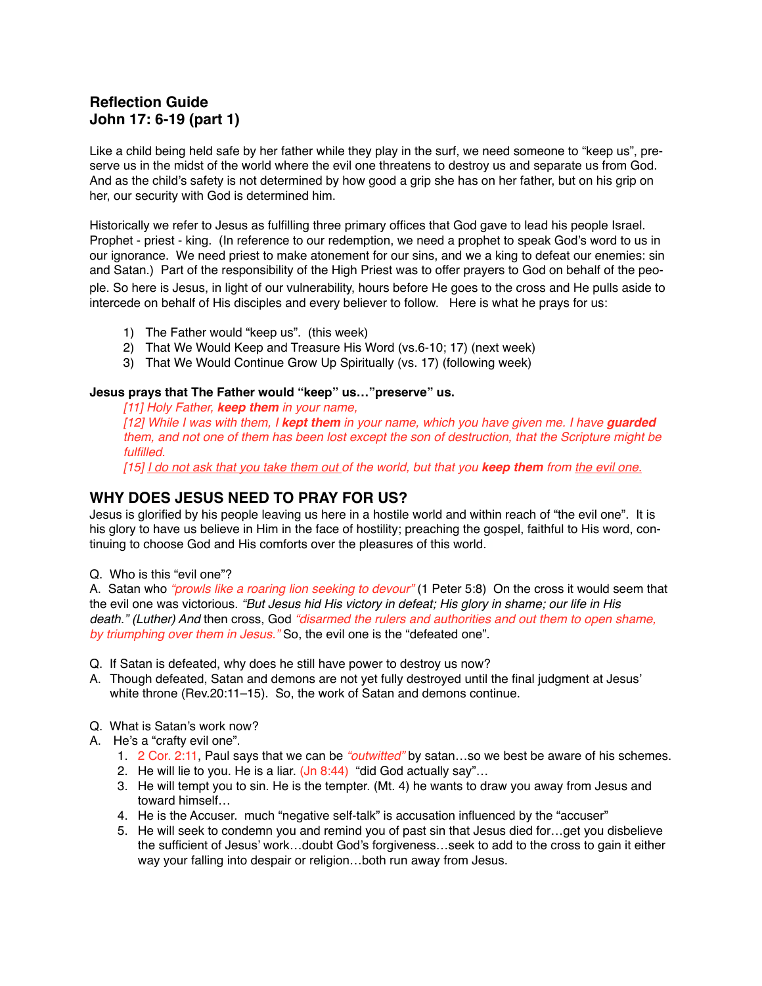# **Reflection Guide John 17: 6-19 (part 1)**

Like a child being held safe by her father while they play in the surf, we need someone to "keep us", preserve us in the midst of the world where the evil one threatens to destroy us and separate us from God. And as the child's safety is not determined by how good a grip she has on her father, but on his grip on her, our security with God is determined him.

Historically we refer to Jesus as fulfilling three primary offices that God gave to lead his people Israel. Prophet - priest - king. (In reference to our redemption, we need a prophet to speak God's word to us in our ignorance. We need priest to make atonement for our sins, and we a king to defeat our enemies: sin and Satan.) Part of the responsibility of the High Priest was to offer prayers to God on behalf of the people. So here is Jesus, in light of our vulnerability, hours before He goes to the cross and He pulls aside to intercede on behalf of His disciples and every believer to follow. Here is what he prays for us:

- 1) The Father would "keep us". (this week)
- 2) That We Would Keep and Treasure His Word (vs.6-10; 17) (next week)
- 3) That We Would Continue Grow Up Spiritually (vs. 17) (following week)

#### **Jesus prays that The Father would "keep" us…"preserve" us.**

*[11] Holy Father, keep them in your name,*

*[12] While I was with them, I kept them in your name, which you have given me. I have guarded them, and not one of them has been lost except the son of destruction, that the Scripture might be fulfilled.*

*[15] I do not ask that you take them out of the world, but that you keep them from the evil one.*

## **WHY DOES JESUS NEED TO PRAY FOR US?**

Jesus is glorified by his people leaving us here in a hostile world and within reach of "the evil one". It is his glory to have us believe in Him in the face of hostility; preaching the gospel, faithful to His word, continuing to choose God and His comforts over the pleasures of this world.

Q. Who is this "evil one"?

A. Satan who *"prowls like a roaring lion seeking to devour"* (1 Peter 5:8) On the cross it would seem that the evil one was victorious. *"But Jesus hid His victory in defeat; His glory in shame; our life in His death." (Luther) And* then cross, God *"disarmed the rulers and authorities and out them to open shame, by triumphing over them in Jesus."* So, the evil one is the "defeated one".

- Q. If Satan is defeated, why does he still have power to destroy us now?
- A. Though defeated, Satan and demons are not yet fully destroyed until the final judgment at Jesus' white throne (Rev.20:11–15). So, the work of Satan and demons continue.
- Q. What is Satan's work now?
- A. He's a "crafty evil one".
	- 1. 2 Cor. 2:11, Paul says that we can be *"outwitted"* by satan…so we best be aware of his schemes.
	- 2. He will lie to you. He is a liar. (Jn 8:44) "did God actually say"…
	- 3. He will tempt you to sin. He is the tempter. (Mt. 4) he wants to draw you away from Jesus and toward himself…
	- 4. He is the Accuser. much "negative self-talk" is accusation influenced by the "accuser"
	- 5. He will seek to condemn you and remind you of past sin that Jesus died for…get you disbelieve the sufficient of Jesus' work…doubt God's forgiveness…seek to add to the cross to gain it either way your falling into despair or religion…both run away from Jesus.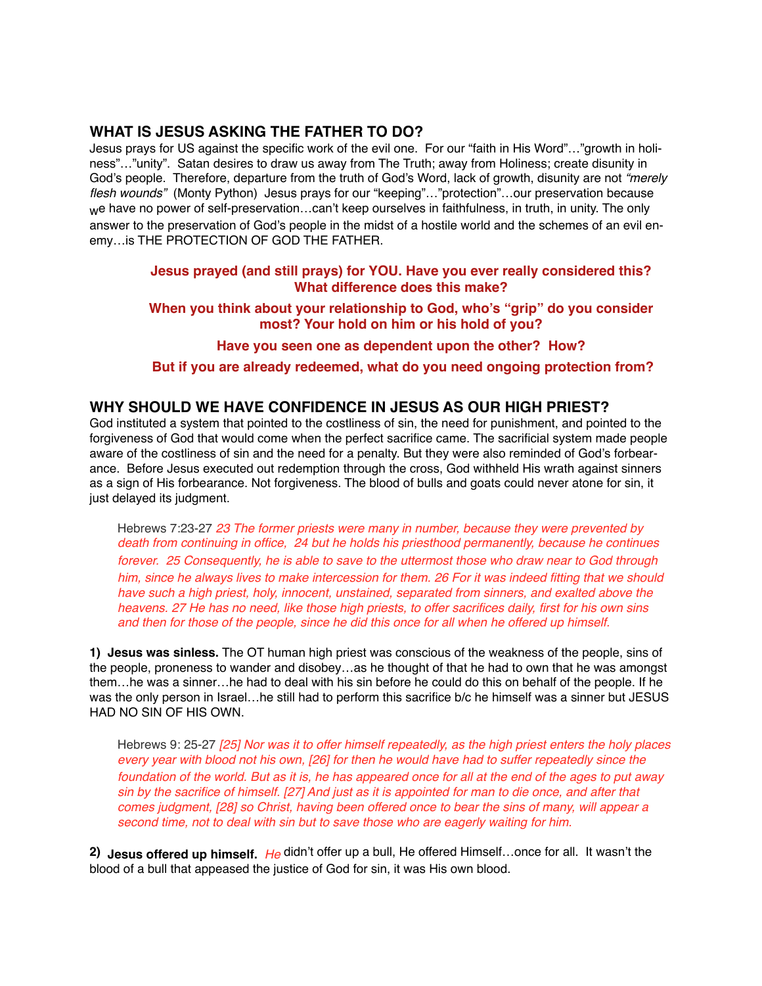## **WHAT IS JESUS ASKING THE FATHER TO DO?**

Jesus prays for US against the specific work of the evil one. For our "faith in His Word"…"growth in holiness"…"unity". Satan desires to draw us away from The Truth; away from Holiness; create disunity in God's people. Therefore, departure from the truth of God's Word, lack of growth, disunity are not *"merely flesh wounds"* (Monty Python) Jesus prays for our "keeping"…"protection"…our preservation because we have no power of self-preservation...can't keep ourselves in faithfulness, in truth, in unity. The only answer to the preservation of God's people in the midst of a hostile world and the schemes of an evil enemy…is THE PROTECTION OF GOD THE FATHER.

### **Jesus prayed (and still prays) for YOU. Have you ever really considered this? What difference does this make?**

### **When you think about your relationship to God, who's "grip" do you consider most? Your hold on him or his hold of you?**

#### **Have you seen one as dependent upon the other? How?**

#### **But if you are already redeemed, what do you need ongoing protection from?**

#### **WHY SHOULD WE HAVE CONFIDENCE IN JESUS AS OUR HIGH PRIEST?**

God instituted a system that pointed to the costliness of sin, the need for punishment, and pointed to the forgiveness of God that would come when the perfect sacrifice came. The sacrificial system made people aware of the costliness of sin and the need for a penalty. But they were also reminded of God's forbearance. Before Jesus executed out redemption through the cross, God withheld His wrath against sinners as a sign of His forbearance. Not forgiveness. The blood of bulls and goats could never atone for sin, it just delayed its judgment.

Hebrews 7:23-27 *23 The former priests were many in number, because they were prevented by death from continuing in office, 24 but he holds his priesthood permanently, because he continues forever. 25 Consequently, he is able to save to the uttermost those who draw near to God through him, since he always lives to make intercession for them. 26 For it was indeed fitting that we should*  have such a high priest, holy, innocent, unstained, separated from sinners, and exalted above the *heavens. 27 He has no need, like those high priests, to offer sacrifices daily, first for his own sins and then for those of the people, since he did this once for all when he offered up himself.*

**1) Jesus was sinless.** The OT human high priest was conscious of the weakness of the people, sins of the people, proneness to wander and disobey…as he thought of that he had to own that he was amongst them…he was a sinner…he had to deal with his sin before he could do this on behalf of the people. If he was the only person in Israel...he still had to perform this sacrifice b/c he himself was a sinner but JESUS HAD NO SIN OF HIS OWN.

Hebrews 9: 25-27 *[25] Nor was it to offer himself repeatedly, as the high priest enters the holy places every year with blood not his own, [26] for then he would have had to suffer repeatedly since the foundation of the world. But as it is, he has appeared once for all at the end of the ages to put away sin by the sacrifice of himself. [27] And just as it is appointed for man to die once, and after that comes judgment, [28] so Christ, having been offered once to bear the sins of many, will appear a second time, not to deal with sin but to save those who are eagerly waiting for him.* 

**2) Jesus offered up himself.** *He* didn't offer up a bull, He offered Himself…once for all. It wasn't the blood of a bull that appeased the justice of God for sin, it was His own blood.